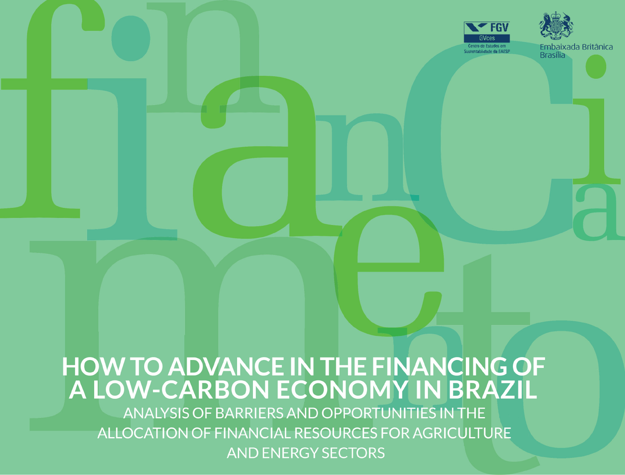

## **HOW TO ADVANCE IN THE FINANCING OF** A LOW-CARBON ECONOMY IN BRAZIL

ANALYSIS OF BARRIERS AND OPPORTUNITIES IN THE ALLOCATION OF FINANCIAL RESOURCES FOR AGRICULTURE **AND ENERGY SECTORS**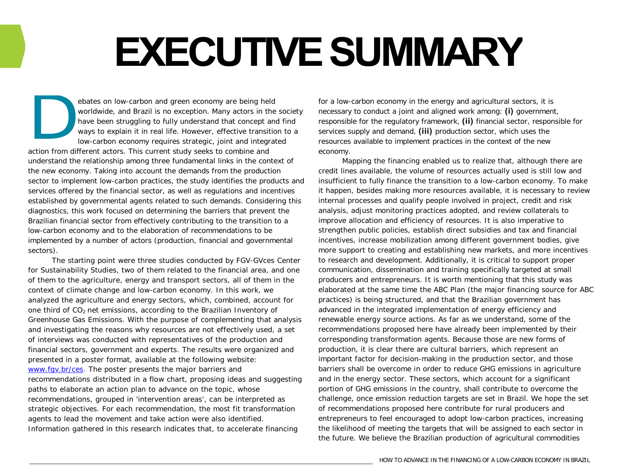## **EXECUTIVE SUMMARY**

ebates on low-carbon and green economy are being held worldwide, and Brazil is no exception. Many actors in the society have been struggling to fully understand that concept and find ways to explain it in real life. However, effective transition to a low-carbon economy requires strategic, joint and integrated D

action from different actors. This current study seeks to combine and understand the relationship among three fundamental links in the context of the new economy. Taking into account the demands from the production sector to implement low-carbon practices, the study identifies the products and services offered by the financial sector, as well as regulations and incentives established by governmental agents related to such demands. Considering this diagnostics, this work focused on determining the barriers that prevent the Brazilian financial sector from effectively contributing to the transition to a low-carbon economy and to the elaboration of recommendations to be implemented by a number of actors (production, financial and governmental sectors).

The starting point were three studies conducted by FGV-GVces Center for Sustainability Studies, two of them related to the financial area, and one of them to the agriculture, energy and transport sectors, all of them in the context of climate change and low-carbon economy. In this work, we analyzed the agriculture and energy sectors, which, combined, account for one third of  $CO<sub>2</sub>$  net emissions, according to the Brazilian Inventory of Greenhouse Gas Emissions. With the purpose of complementing that analysis and investigating the reasons why resources are not effectively used, a set of interviews was conducted with representatives of the production and financial sectors, government and experts. The results were organized and presented in a poster format, available at the following website: [www.fgv.br/ces.](http://www.fgv.br/ces) The poster presents the major barriers and recommendations distributed in a flow chart, proposing ideas and suggesting paths to elaborate an action plan to advance on the topic, whose recommendations, grouped in 'intervention areas', can be interpreted as strategic objectives. For each recommendation, the most fit transformation agents to lead the movement and take action were also identified. Information gathered in this research indicates that, to accelerate financing

for a low-carbon economy in the energy and agricultural sectors, it is necessary to conduct a joint and aligned work among: **(i)** government, responsible for the regulatory framework, **(ii)** financial sector, responsible for services supply and demand, **(iii)** production sector, which uses the resources available to implement practices in the context of the new economy.

Mapping the financing enabled us to realize that, although there are credit lines available, the volume of resources actually used is still low and insufficient to fully finance the transition to a low-carbon economy. To make it happen, besides making more resources available, it is necessary to review internal processes and qualify people involved in project, credit and risk analysis, adjust monitoring practices adopted, and review collaterals to improve allocation and efficiency of resources. It is also imperative to strengthen public policies, establish direct subsidies and tax and financial incentives, increase mobilization among different government bodies, give more support to creating and establishing new markets, and more incentives to research and development. Additionally, it is critical to support proper communication, dissemination and training specifically targeted at small producers and entrepreneurs. It is worth mentioning that this study was elaborated at the same time the ABC Plan (the major financing source for ABC practices) is being structured, and that the Brazilian government has advanced in the integrated implementation of energy efficiency and renewable energy source actions. As far as we understand, some of the recommendations proposed here have already been implemented by their corresponding transformation agents. Because those are new forms of production, it is clear there are cultural barriers, which represent an important factor for decision-making in the production sector, and those barriers shall be overcome in order to reduce GHG emissions in agriculture and in the energy sector. These sectors, which account for a significant portion of GHG emissions in the country, shall contribute to overcome the challenge, once emission reduction targets are set in Brazil. We hope the set of recommendations proposed here contribute for rural producers and entrepreneurs to feel encouraged to adopt low-carbon practices, increasing the likelihood of meeting the targets that will be assigned to each sector in the future. We believe the Brazilian production of agricultural commodities